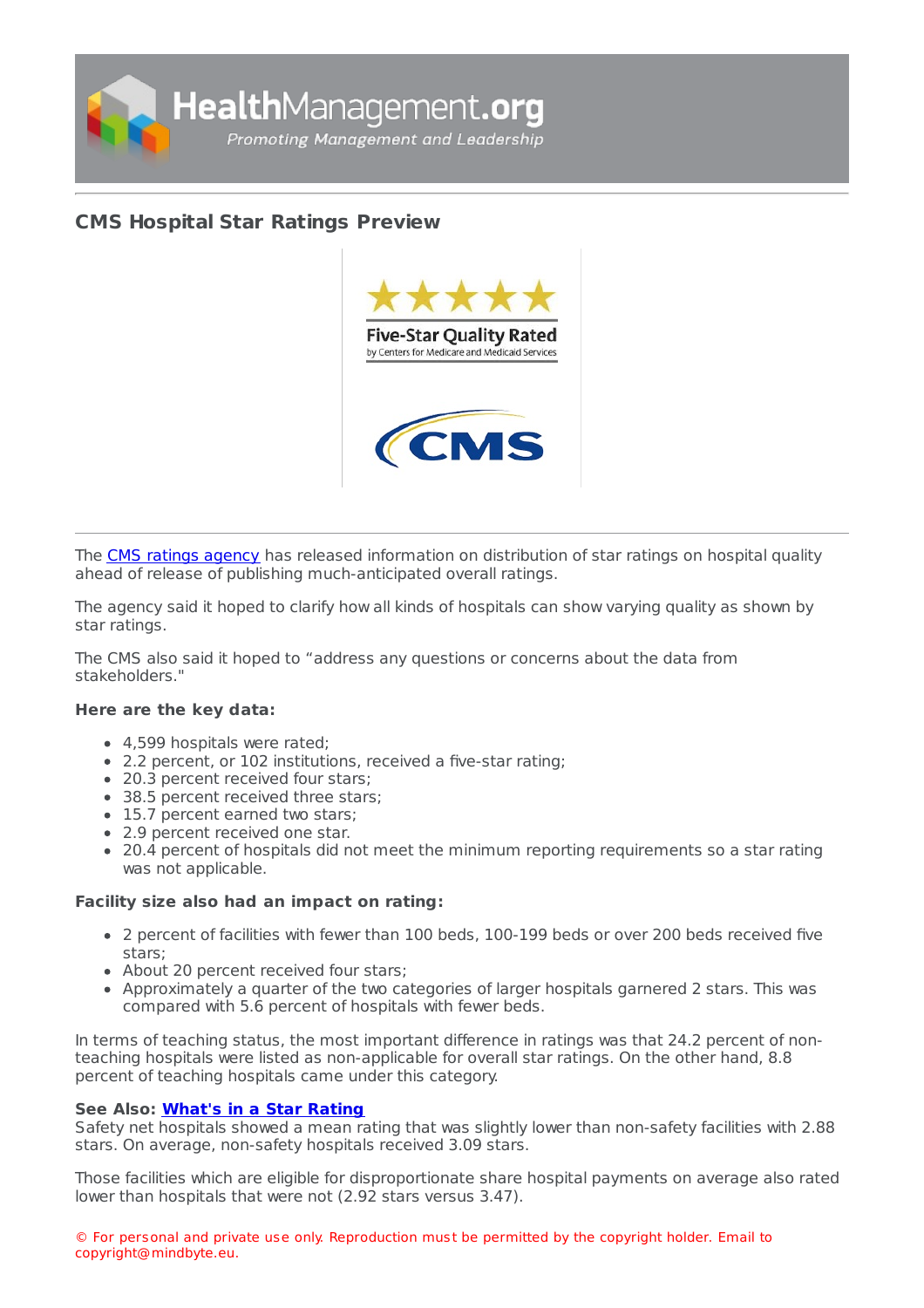

## **CMS [Hospital](https://healthmanagement.org/s/cms-hospital-star-ratings-preview) Star Ratings Preview**



The CMS ratings [agency](https://www.cms.gov/medicare/provider-enrollment-and-certification/certificationandcomplianc/fsqrs.html) has released information on distribution of star ratings on hospital quality ahead of release of publishing much-anticipated overall ratings.

The agency said it hoped to clarify how all kinds of hospitals can show varying quality as shown by star ratings.

The CMS also said it hoped to "address any questions or concerns about the data from stakeholders."

## **Here are the key data:**

- 4,599 hospitals were rated;
- 2.2 percent, or 102 institutions, received a five-star rating;
- 20.3 percent received four stars;
- 38.5 percent received three stars;
- 15.7 percent earned two stars;
- 2.9 percent received one star.
- 20.4 percent of hospitals did not meet the minimum reporting requirements so a star rating was not applicable.

## **Facility size also had an impact on rating:**

- 2 percent of facilities with fewer than 100 beds, 100-199 beds or over 200 beds received five stars;
- About 20 percent received four stars;
- Approximately a quarter of the two categories of larger hospitals garnered 2 stars. This was compared with 5.6 percent of hospitals with fewer beds.

In terms of teaching status, the most important difference in ratings was that 24.2 percent of nonteaching hospitals were listed as non-applicable for overall star ratings. On the other hand, 8.8 percent of teaching hospitals came under this category.

## **See Also: [What's](file:///usr/home/healtg/.tmp/ https://healthmanagement.org/c/hospital/news/what-s-in-a-star-rating) in a Star Rating**

Safety net hospitals showed a mean rating that was slightly lower than non-safety facilities with 2.88 stars. On average, non-safety hospitals received 3.09 stars.

Those facilities which are eligible for disproportionate share hospital payments on average also rated lower than hospitals that were not (2.92 stars versus 3.47).

© For personal and private use only. Reproduction must be permitted by the copyright holder. Email to copyright@mindbyte.eu.